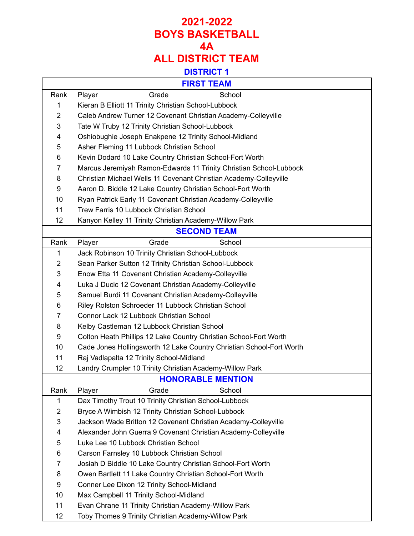## **2021-2022 BOYS BASKETBALL 4A ALL DISTRICT TEAM**

### **DISTRICT 1**

 $\overline{\mathsf{L}}$ 

 $\Gamma$ 

|                          | FIRSI IEAM                                                           |  |  |  |
|--------------------------|----------------------------------------------------------------------|--|--|--|
| Rank                     | Grade<br>School<br>Player                                            |  |  |  |
| 1                        | Kieran B Elliott 11 Trinity Christian School-Lubbock                 |  |  |  |
| $\overline{2}$           | Caleb Andrew Turner 12 Covenant Christian Academy-Colleyville        |  |  |  |
| 3                        | Tate W Truby 12 Trinity Christian School-Lubbock                     |  |  |  |
| 4                        | Oshiobughie Joseph Enakpene 12 Trinity School-Midland                |  |  |  |
| 5                        | Asher Fleming 11 Lubbock Christian School                            |  |  |  |
| 6                        | Kevin Dodard 10 Lake Country Christian School-Fort Worth             |  |  |  |
| $\overline{7}$           | Marcus Jeremiyah Ramon-Edwards 11 Trinity Christian School-Lubbock   |  |  |  |
| 8                        | Christian Michael Wells 11 Covenant Christian Academy-Colleyville    |  |  |  |
| 9                        | Aaron D. Biddle 12 Lake Country Christian School-Fort Worth          |  |  |  |
| 10                       | Ryan Patrick Early 11 Covenant Christian Academy-Colleyville         |  |  |  |
| 11                       | Trew Farris 10 Lubbock Christian School                              |  |  |  |
| 12                       | Kanyon Kelley 11 Trinity Christian Academy-Willow Park               |  |  |  |
|                          | <b>SECOND TEAM</b>                                                   |  |  |  |
| Rank                     | School<br>Player<br>Grade                                            |  |  |  |
| 1                        | Jack Robinson 10 Trinity Christian School-Lubbock                    |  |  |  |
| $\overline{2}$           | Sean Parker Sutton 12 Trinity Christian School-Lubbock               |  |  |  |
| 3                        | Enow Etta 11 Covenant Christian Academy-Colleyville                  |  |  |  |
| 4                        | Luka J Ducic 12 Covenant Christian Academy-Colleyville               |  |  |  |
| 5                        | Samuel Burdi 11 Covenant Christian Academy-Colleyville               |  |  |  |
| 6                        | Riley Rolston Schroeder 11 Lubbock Christian School                  |  |  |  |
| $\overline{7}$           | Connor Lack 12 Lubbock Christian School                              |  |  |  |
| 8                        | Kelby Castleman 12 Lubbock Christian School                          |  |  |  |
| 9                        | Colton Heath Phillips 12 Lake Country Christian School-Fort Worth    |  |  |  |
| 10                       | Cade Jones Hollingsworth 12 Lake Country Christian School-Fort Worth |  |  |  |
| 11                       | Raj Vadlapalta 12 Trinity School-Midland                             |  |  |  |
| 12                       | Landry Crumpler 10 Trinity Christian Academy-Willow Park             |  |  |  |
| <b>HONORABLE MENTION</b> |                                                                      |  |  |  |
| Rank                     | School<br>Grade<br>Player                                            |  |  |  |
| 1                        | Dax Timothy Trout 10 Trinity Christian School-Lubbock                |  |  |  |
| $\overline{2}$           | Bryce A Wimbish 12 Trinity Christian School-Lubbock                  |  |  |  |
| 3                        | Jackson Wade Britton 12 Covenant Christian Academy-Colleyville       |  |  |  |
| 4                        | Alexander John Guerra 9 Covenant Christian Academy-Colleyville       |  |  |  |
| 5                        | Luke Lee 10 Lubbock Christian School                                 |  |  |  |
| 6                        | Carson Farnsley 10 Lubbock Christian School                          |  |  |  |
| 7                        | Josiah D Biddle 10 Lake Country Christian School-Fort Worth          |  |  |  |
| 8                        | Owen Bartlett 11 Lake Country Christian School-Fort Worth            |  |  |  |
| 9                        | Conner Lee Dixon 12 Trinity School-Midland                           |  |  |  |
| 10                       | Max Campbell 11 Trinity School-Midland                               |  |  |  |
| 11                       | Evan Chrane 11 Trinity Christian Academy-Willow Park                 |  |  |  |
| 12                       | Toby Thomes 9 Trinity Christian Academy-Willow Park                  |  |  |  |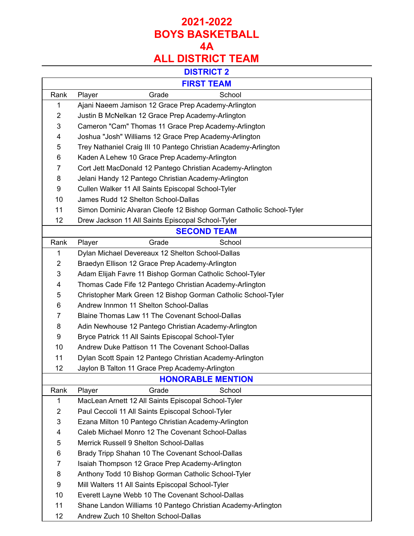## **ALL DISTRICT TEAM**

#### **DISTRICT 2**

### **FIRST TEAM**

Г

|                | I INJI ILAMI                                                        |
|----------------|---------------------------------------------------------------------|
| Rank           | School<br>Player<br>Grade                                           |
| 1              | Ajani Naeem Jamison 12 Grace Prep Academy-Arlington                 |
| $\overline{2}$ | Justin B McNelkan 12 Grace Prep Academy-Arlington                   |
| 3              | Cameron "Cam" Thomas 11 Grace Prep Academy-Arlington                |
| 4              | Joshua "Josh" Williams 12 Grace Prep Academy-Arlington              |
| 5              | Trey Nathaniel Craig III 10 Pantego Christian Academy-Arlington     |
| 6              | Kaden A Lehew 10 Grace Prep Academy-Arlington                       |
| $\overline{7}$ | Cort Jett MacDonald 12 Pantego Christian Academy-Arlington          |
| 8              | Jelani Handy 12 Pantego Christian Academy-Arlington                 |
| 9              | Cullen Walker 11 All Saints Episcopal School-Tyler                  |
| 10             | James Rudd 12 Shelton School-Dallas                                 |
| 11             | Simon Dominic Alvaran Cleofe 12 Bishop Gorman Catholic School-Tyler |
| 12             | Drew Jackson 11 All Saints Episcopal School-Tyler                   |
|                | <b>SECOND TEAM</b>                                                  |
| Rank           | Player<br>Grade<br>School                                           |
| 1              | Dylan Michael Devereaux 12 Shelton School-Dallas                    |
| $\overline{2}$ | Braedyn Ellison 12 Grace Prep Academy-Arlington                     |
| 3              | Adam Elijah Favre 11 Bishop Gorman Catholic School-Tyler            |
| 4              | Thomas Cade Fife 12 Pantego Christian Academy-Arlington             |
| 5              | Christopher Mark Green 12 Bishop Gorman Catholic School-Tyler       |
| 6              | Andrew Innmon 11 Shelton School-Dallas                              |
| 7              | Blaine Thomas Law 11 The Covenant School-Dallas                     |
| 8              | Adin Newhouse 12 Pantego Christian Academy-Arlington                |
| 9              | Bryce Patrick 11 All Saints Episcopal School-Tyler                  |
| 10             | Andrew Duke Pattison 11 The Covenant School-Dallas                  |
| 11             | Dylan Scott Spain 12 Pantego Christian Academy-Arlington            |
| 12             | Jaylon B Talton 11 Grace Prep Academy-Arlington                     |
|                | <b>HONORABLE MENTION</b>                                            |
| Rank           | Player<br>Grade<br>School                                           |
| 1              | MacLean Arnett 12 All Saints Episcopal School-Tyler                 |
| 2              | Paul Ceccoli 11 All Saints Episcopal School-Tyler                   |
| 3              | Ezana Milton 10 Pantego Christian Academy-Arlington                 |
| 4              | Caleb Michael Monro 12 The Covenant School-Dallas                   |
| 5              | Merrick Russell 9 Shelton School-Dallas                             |
| 6              | Brady Tripp Shahan 10 The Covenant School-Dallas                    |
| 7              | Isaiah Thompson 12 Grace Prep Academy-Arlington                     |
| 8              | Anthony Todd 10 Bishop Gorman Catholic School-Tyler                 |
| 9              | Mill Walters 11 All Saints Episcopal School-Tyler                   |
| 10             | Everett Layne Webb 10 The Covenant School-Dallas                    |
| 11             | Shane Landon Williams 10 Pantego Christian Academy-Arlington        |
| 12             | Andrew Zuch 10 Shelton School-Dallas                                |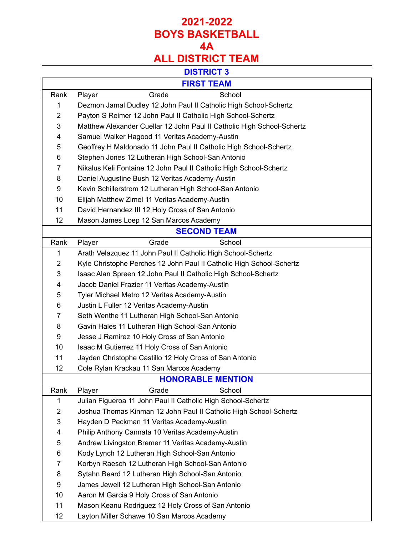# **ALL DISTRICT TEAM**

### **DISTRICT 3**

### **FIRST TEAM**

Г

|                          | FINJI I LAIVI                                                          |  |  |
|--------------------------|------------------------------------------------------------------------|--|--|
| Rank                     | Grade<br>School<br>Player                                              |  |  |
| 1                        | Dezmon Jamal Dudley 12 John Paul II Catholic High School-Schertz       |  |  |
| $\overline{2}$           | Payton S Reimer 12 John Paul II Catholic High School-Schertz           |  |  |
| 3                        | Matthew Alexander Cuellar 12 John Paul II Catholic High School-Schertz |  |  |
| 4                        | Samuel Walker Hagood 11 Veritas Academy-Austin                         |  |  |
| 5                        | Geoffrey H Maldonado 11 John Paul II Catholic High School-Schertz      |  |  |
| 6                        | Stephen Jones 12 Lutheran High School-San Antonio                      |  |  |
| $\overline{7}$           | Nikalus Keli Fontaine 12 John Paul II Catholic High School-Schertz     |  |  |
| 8                        | Daniel Augustine Bush 12 Veritas Academy-Austin                        |  |  |
| 9                        | Kevin Schillerstrom 12 Lutheran High School-San Antonio                |  |  |
| 10                       | Elijah Matthew Zimel 11 Veritas Academy-Austin                         |  |  |
| 11                       | David Hernandez III 12 Holy Cross of San Antonio                       |  |  |
| 12                       | Mason James Loep 12 San Marcos Academy                                 |  |  |
|                          | <b>SECOND TEAM</b>                                                     |  |  |
| Rank                     | Grade<br>School<br>Player                                              |  |  |
| $\mathbf{1}$             | Arath Velazquez 11 John Paul II Catholic High School-Schertz           |  |  |
| 2                        | Kyle Christophe Perches 12 John Paul II Catholic High School-Schertz   |  |  |
| 3                        | Isaac Alan Spreen 12 John Paul II Catholic High School-Schertz         |  |  |
| 4                        | Jacob Daniel Frazier 11 Veritas Academy-Austin                         |  |  |
| 5                        | Tyler Michael Metro 12 Veritas Academy-Austin                          |  |  |
| 6                        | Justin L Fuller 12 Veritas Academy-Austin                              |  |  |
| 7                        | Seth Wenthe 11 Lutheran High School-San Antonio                        |  |  |
| 8                        | Gavin Hales 11 Lutheran High School-San Antonio                        |  |  |
| 9                        | Jesse J Ramirez 10 Holy Cross of San Antonio                           |  |  |
| 10                       | Isaac M Gutierrez 11 Holy Cross of San Antonio                         |  |  |
| 11                       | Jayden Christophe Castillo 12 Holy Cross of San Antonio                |  |  |
| 12                       | Cole Rylan Krackau 11 San Marcos Academy                               |  |  |
| <b>HONORABLE MENTION</b> |                                                                        |  |  |
| Rank                     | Player<br>Grade<br>School                                              |  |  |
| 1                        | Julian Figueroa 11 John Paul II Catholic High School-Schertz           |  |  |
| 2                        | Joshua Thomas Kinman 12 John Paul II Catholic High School-Schertz      |  |  |
| 3                        | Hayden D Peckman 11 Veritas Academy-Austin                             |  |  |
| 4                        | Philip Anthony Cannata 10 Veritas Academy-Austin                       |  |  |
| 5                        | Andrew Livingston Bremer 11 Veritas Academy-Austin                     |  |  |
| 6                        | Kody Lynch 12 Lutheran High School-San Antonio                         |  |  |
| 7                        | Korbyn Raesch 12 Lutheran High School-San Antonio                      |  |  |
| 8                        | Sytahn Beard 12 Lutheran High School-San Antonio                       |  |  |
| 9                        | James Jewell 12 Lutheran High School-San Antonio                       |  |  |
| 10                       | Aaron M Garcia 9 Holy Cross of San Antonio                             |  |  |
| 11                       | Mason Keanu Rodriguez 12 Holy Cross of San Antonio                     |  |  |
| 12                       | Layton Miller Schawe 10 San Marcos Academy                             |  |  |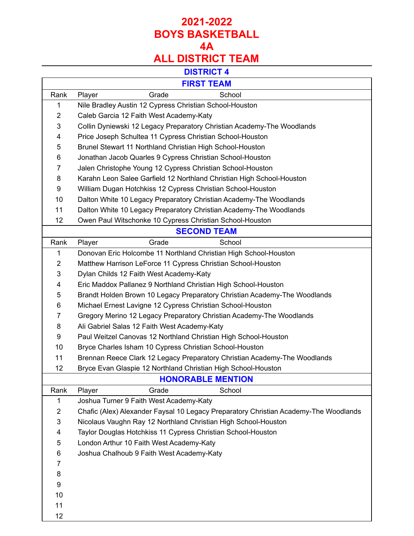# **ALL DISTRICT TEAM**

#### **DISTRICT 4**

 $\overline{\mathsf{I}}$ 

### **FIRST TEAM**

 $\Gamma$ 

|                    | FIRSI I LAM                                                                          |  |  |
|--------------------|--------------------------------------------------------------------------------------|--|--|
| Rank               | Grade<br>School<br>Player                                                            |  |  |
| 1                  | Nile Bradley Austin 12 Cypress Christian School-Houston                              |  |  |
| $\overline{2}$     | Caleb Garcia 12 Faith West Academy-Katy                                              |  |  |
| 3                  | Collin Dyniewski 12 Legacy Preparatory Christian Academy-The Woodlands               |  |  |
| 4                  | Price Joseph Schultea 11 Cypress Christian School-Houston                            |  |  |
| 5                  | Brunel Stewart 11 Northland Christian High School-Houston                            |  |  |
| 6                  | Jonathan Jacob Quarles 9 Cypress Christian School-Houston                            |  |  |
| 7                  | Jalen Christophe Young 12 Cypress Christian School-Houston                           |  |  |
| 8                  | Karahn Leon Salee Garfield 12 Northland Christian High School-Houston                |  |  |
| 9                  | William Dugan Hotchkiss 12 Cypress Christian School-Houston                          |  |  |
| 10                 | Dalton White 10 Legacy Preparatory Christian Academy-The Woodlands                   |  |  |
| 11                 | Dalton White 10 Legacy Preparatory Christian Academy-The Woodlands                   |  |  |
| 12                 | Owen Paul Witschonke 10 Cypress Christian School-Houston                             |  |  |
| <b>SECOND TEAM</b> |                                                                                      |  |  |
| Rank               | School<br>Player<br>Grade                                                            |  |  |
| 1                  | Donovan Eric Holcombe 11 Northland Christian High School-Houston                     |  |  |
| $\overline{2}$     | Matthew Harrison LeForce 11 Cypress Christian School-Houston                         |  |  |
| 3                  | Dylan Childs 12 Faith West Academy-Katy                                              |  |  |
| 4                  | Eric Maddox Pallanez 9 Northland Christian High School-Houston                       |  |  |
| 5                  | Brandt Holden Brown 10 Legacy Preparatory Christian Academy-The Woodlands            |  |  |
| 6                  | Michael Ernest Lavigne 12 Cypress Christian School-Houston                           |  |  |
| $\overline{7}$     | Gregory Merino 12 Legacy Preparatory Christian Academy-The Woodlands                 |  |  |
| 8                  | Ali Gabriel Salas 12 Faith West Academy-Katy                                         |  |  |
| 9                  | Paul Weitzel Canovas 12 Northland Christian High School-Houston                      |  |  |
| 10                 | Bryce Charles Isham 10 Cypress Christian School-Houston                              |  |  |
| 11                 | Brennan Reece Clark 12 Legacy Preparatory Christian Academy-The Woodlands            |  |  |
| 12                 | Bryce Evan Glaspie 12 Northland Christian High School-Houston                        |  |  |
|                    | <b>HONORABLE MENTION</b>                                                             |  |  |
| Rank               | Grade<br>School<br>Player                                                            |  |  |
| 1                  | Joshua Turner 9 Faith West Academy-Katy                                              |  |  |
| $\overline{2}$     | Chafic (Alex) Alexander Faysal 10 Legacy Preparatory Christian Academy-The Woodlands |  |  |
| 3                  | Nicolaus Vaughn Ray 12 Northland Christian High School-Houston                       |  |  |
| 4                  | Taylor Douglas Hotchkiss 11 Cypress Christian School-Houston                         |  |  |
| 5                  | London Arthur 10 Faith West Academy-Katy                                             |  |  |
| 6                  | Joshua Chalhoub 9 Faith West Academy-Katy                                            |  |  |
| 7                  |                                                                                      |  |  |
| 8                  |                                                                                      |  |  |
| 9                  |                                                                                      |  |  |
| 10                 |                                                                                      |  |  |
| 11                 |                                                                                      |  |  |
| 12                 |                                                                                      |  |  |